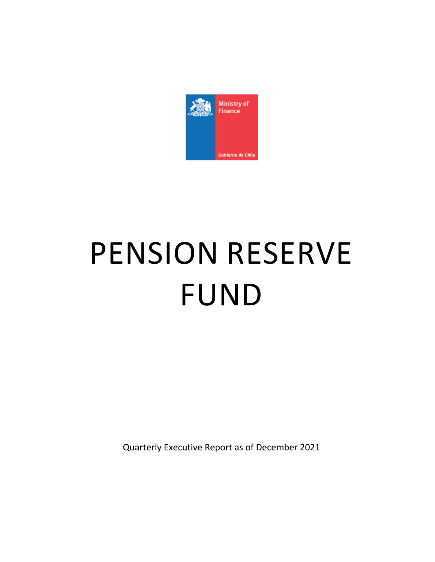

# PENSION RESERVE FUND

Quarterly Executive Report as of December 2021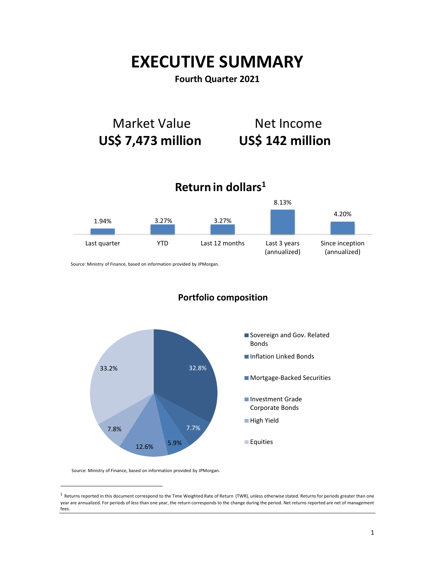# **EXECUTIVE SUMMARY**

## **Fourth Quarter 2021**



Source: Ministry of Finance, based on information provided by JPMorgan.



## **Portfolio composition**

Source: Ministry of Finance, based on information provided by JPMorgan.

 $\overline{a}$ 

 $1$  Returns reported in this document correspond to the Time Weighted Rate of Return (TWR), unless otherwise stated. Returns for periods greater than one year are annualized. For periods of less than one year, the return corresponds to the change during the period. Net returns reported are net of management fees.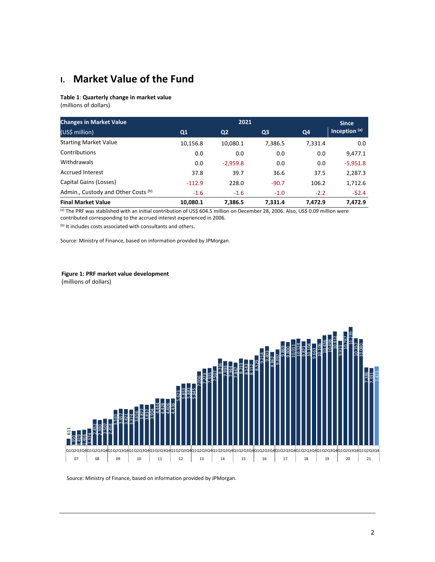## **I. Market Value of the Fund**

#### **Table 1**: **Quarterly change in market value**

(millions of dollars)

| <b>Changes in Market Value</b>      |                | 2021           |                |         |                 |  |
|-------------------------------------|----------------|----------------|----------------|---------|-----------------|--|
| (US\$ million)                      | Q <sub>1</sub> | Q <sub>2</sub> | Q <sub>3</sub> | Q4      | Inception $(a)$ |  |
| <b>Starting Market Value</b>        | 10,156.8       | 10,080.1       | 7,386.5        | 7,331.4 | 0.0             |  |
| Contributions                       | 0.0            | 0.0            | 0.0            | 0.0     | 9,477.1         |  |
| Withdrawals                         | 0.0            | $-2,959.8$     | 0.0            | 0.0     | $-5,951.8$      |  |
| <b>Accrued Interest</b>             | 37.8           | 39.7           | 36.6           | 37.5    | 2,287.3         |  |
| Capital Gains (Losses)              | $-112.9$       | 228.0          | $-90.7$        | 106.2   | 1,712.6         |  |
| Admin., Custody and Other Costs (b) | $-1.6$         | $-1.6$         | $-1.0$         | $-2.2$  | $-52.4$         |  |
| <b>Final Market Value</b>           | 10,080.1       | 7,386.5        | 7.331.4        | 7.472.9 | 7,472.9         |  |

(a) The PRF was stablished with an initial contribution of US\$ 604.5 million on December 28, 2006. Also, US\$ 0.09 million were contributed corresponding to the accrued interest experienced in 2006.

(b) It includes costs associated with consultants and others.

Source: Ministry of Finance, based on information provided by JPMorgan.

#### **Figure 1: PRF market value development**

(millions of dollars)



Source: Ministry of Finance, based on information provided by JPMorgan.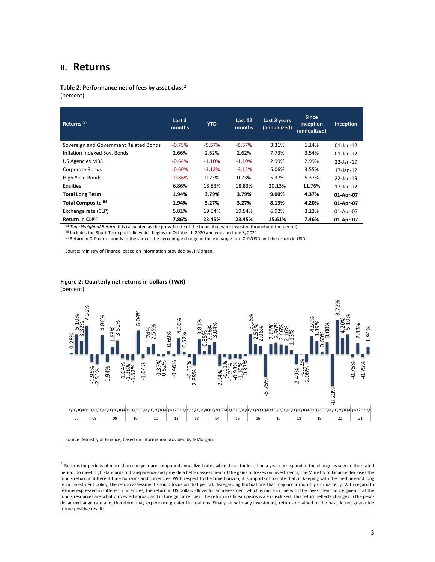### **II. Returns**

**Table 2**: **Performance net of fees by asset class<sup>2</sup>** (percent)

| Returns <sup>(a)</sup>                 | Last 3<br>months | <b>YTD</b> | Last 12<br>months | Last 3 years<br>(annualized) | <b>Since</b><br>Inception<br>(annualized) | Inception    |
|----------------------------------------|------------------|------------|-------------------|------------------------------|-------------------------------------------|--------------|
| Sovereign and Government Related Bonds | $-0.75%$         | $-5.57%$   | $-5.57%$          | 3.31%                        | 1.14%                                     | $01$ -Jan-12 |
| Inflation Indexed Sov. Bonds           | 2.66%            | 2.62%      | 2.62%             | 7.73%                        | 3.54%                                     | $01$ -Jan-12 |
| <b>US Agencies MBS</b>                 | $-0.64%$         | $-1.10%$   | $-1.10%$          | 2.99%                        | 2.99%                                     | 22-Jan-19    |
| Corporate Bonds                        | $-0.60%$         | $-3.12%$   | $-3.12%$          | 6.06%                        | 3.55%                                     | 17-Jan-12    |
| High Yield Bonds                       | $-0.86%$         | 0.73%      | 0.73%             | 5.37%                        | 5.37%                                     | 22-Jan-19    |
| Equities                               | 6.86%            | 18.83%     | 18.83%            | 20.13%                       | 11.76%                                    | 17-Jan-12    |
| <b>Total Long Term</b>                 | 1.94%            | 3.79%      | 3.79%             | 9.00%                        | 4.37%                                     | 01-Apr-07    |
| Total Composite (b)                    | 1.94%            | 3.27%      | 3.27%             | 8.13%                        | 4.20%                                     | 01-Apr-07    |
| Exchange rate (CLP)                    | 5.81%            | 19.54%     | 19.54%            | 6.92%                        | 3.13%                                     | 01-Apr-07    |
| Return in CLP(c)                       | 7.86%            | 23.45%     | 23.45%            | 15.61%                       | 7.46%                                     | 01-Apr-07    |

(a) *Time Weighted Return* (it is calculated as the growth rate of the funds that were invested throughout the period).

(b) Includes the Short-Term portfolio which begins on October 1, 2020 and ends on June 8, 2021.

(c) Return in CLP corresponds to the sum of the percentage change of the exchange rate CLP/USD and the return in USD.

Source: Ministry of Finance, based on information provided by JPMorgan.

#### **Figure 2: Quarterly net returns in dollars (TWR)**

(percent)

 $\overline{a}$ 



Source: Ministry of Finance, based on information provided by JPMorgan.

 $2$  Returns for periods of more than one year are compound annualized rates while those for less than a year correspond to the change as seen in the stated period. To meet high standards of transparency and provide a better assessment of the gains or losses on investments, the Ministry of Finance discloses the fund's return in different time horizons and currencies. With respect to the time horizon, it is important to note that, in keeping with the medium-and long term investment policy, the return assessment should focus on that period, disregarding fluctuations that may occur monthly or quarterly. With regard to returns expressed in different currencies, the return in US dollars allows for an assessment which is more in line with the investment policy given that the fund's resources are wholly invested abroad and in foreign currencies. The return in Chilean pesos is also disclosed. This return reflects changes in the pesodollar exchange rate and, therefore, may experience greater fluctuations. Finally, as with any investment, returns obtained in the past do not guarantee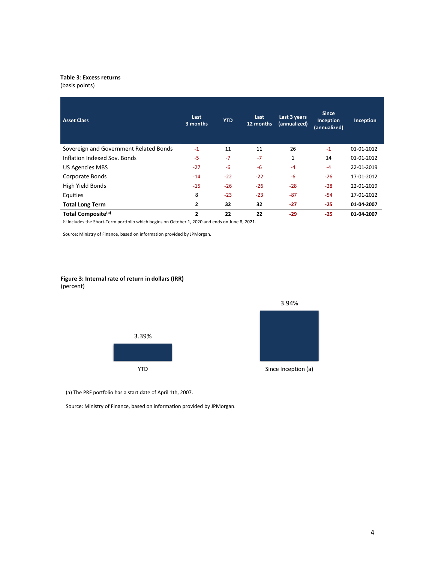#### **Table 3**: **Excess returns**

(basis points)

| <b>Asset Class</b>                     | Last<br>3 months | <b>YTD</b> | Last<br>12 months | Last 3 years<br>(annualized) | <b>Since</b><br>Inception<br>(annualized) | Inception  |
|----------------------------------------|------------------|------------|-------------------|------------------------------|-------------------------------------------|------------|
| Sovereign and Government Related Bonds | $-1$             | 11         | 11                | 26                           | $-1$                                      | 01-01-2012 |
| Inflation Indexed Sov. Bonds           | $-5$             | $-7$       | $-7$              | $\mathbf{1}$                 | 14                                        | 01-01-2012 |
| <b>US Agencies MBS</b>                 | $-27$            | $-6$       | $-6$              | $-4$                         | $-4$                                      | 22-01-2019 |
| Corporate Bonds                        | $-14$            | $-22$      | $-22$             | $-6$                         | $-26$                                     | 17-01-2012 |
| High Yield Bonds                       | $-15$            | $-26$      | $-26$             | $-28$                        | $-28$                                     | 22-01-2019 |
| Equities                               | 8                | $-23$      | $-23$             | $-87$                        | $-54$                                     | 17-01-2012 |
| <b>Total Long Term</b>                 | $\overline{2}$   | 32         | 32                | $-27$                        | $-25$                                     | 01-04-2007 |
| Total Composite <sup>(a)</sup>         | $\overline{2}$   | 22         | 22                | $-29$                        | $-25$                                     | 01-04-2007 |

(a) Includes the Short-Term portfolio which begins on October 1, 2020 and ends on June 8, 2021.

Source: Ministry of Finance, based on information provided by JPMorgan.

#### **Figure 3: Internal rate of return in dollars (IRR)** (percent)



(a) The PRF portfolio has a start date of April 1th, 2007.

Source: Ministry of Finance, based on information provided by JPMorgan.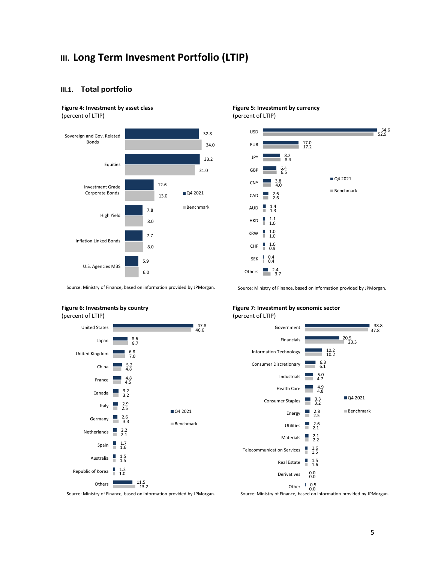## **III. Long Term Invesment Portfolio (LTIP)**

#### **III.1. Total portfolio**

#### **Figure 4: Investment by asset class** (percent of LTIP)



#### **Figure 5: Investment by currency** (percent of LTIP)



Source: Ministry of Finance, based on information provided by JPMorgan.

Source: Ministry of Finance, based on information provided by JPMorgan.



Others **P** 

**Figure 7: Investment by economic sector** (percent of LTIP)





11.5 13.2

Source: Ministry of Finance, based on information provided by JPMorgan.

5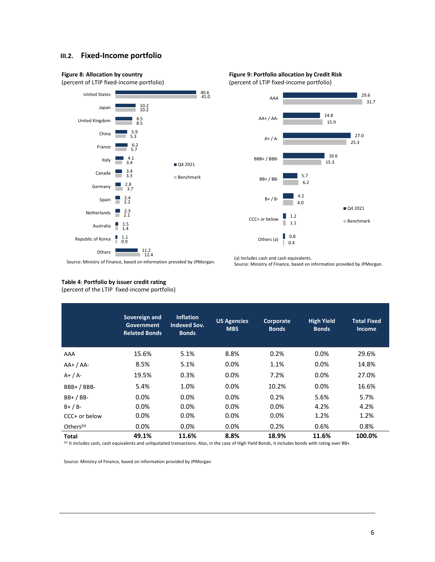#### **III.2. Fixed-Income portfolio**









Source: Ministry of Finance, based on information provided by JPMorgan.

(a) Includes cash and cash equivalents. Source: Ministry of Finance, based on information provided by JPMorgan.

#### **Table 4**: **Portfolio by issuer credit rating**

(percent of the LTIP fixed-income portfolio)

|                       | Sovereign and<br>Government<br><b>Related Bonds</b> | <b>Inflation</b><br><b>Indexed Sov.</b><br><b>Bonds</b> | <b>US Agencies</b><br><b>MBS</b> | Corporate<br><b>Bonds</b> | <b>High Yield</b><br><b>Bonds</b> | <b>Total Fixed</b><br>Income |
|-----------------------|-----------------------------------------------------|---------------------------------------------------------|----------------------------------|---------------------------|-----------------------------------|------------------------------|
| AAA                   | 15.6%                                               | 5.1%                                                    | 8.8%                             | 0.2%                      | 0.0%                              | 29.6%                        |
| $AA+ / AA-$           | 8.5%                                                | 5.1%                                                    | 0.0%                             | 1.1%                      | 0.0%                              | 14.8%                        |
| $A+ / A-$             | 19.5%                                               | 0.3%                                                    | 0.0%                             | 7.2%                      | $0.0\%$                           | 27.0%                        |
| $BBB+ / BBB-$         | 5.4%                                                | 1.0%                                                    | 0.0%                             | 10.2%                     | 0.0%                              | 16.6%                        |
| $BB+ / BB-$           | $0.0\%$                                             | 0.0%                                                    | 0.0%                             | 0.2%                      | 5.6%                              | 5.7%                         |
| $B+ / B-$             | $0.0\%$                                             | 0.0%                                                    | 0.0%                             | 0.0%                      | 4.2%                              | 4.2%                         |
| $CCC+$ or below       | $0.0\%$                                             | 0.0%                                                    | 0.0%                             | 0.0%                      | 1.2%                              | 1.2%                         |
| Others <sup>(a)</sup> | $0.0\%$                                             | 0.0%                                                    | 0.0%                             | 0.2%                      | 0.6%                              | 0.8%                         |
| Total                 | 49.1%                                               | 11.6%                                                   | 8.8%                             | 18.9%                     | 11.6%                             | 100.0%                       |

(a) It includes cash, cash equivalents and unliquitated transactions. Also, in the case of High Yield Bonds, it includes bonds with rating over BB+.

Source: Ministry of Finance, based on information provided by JPMorgan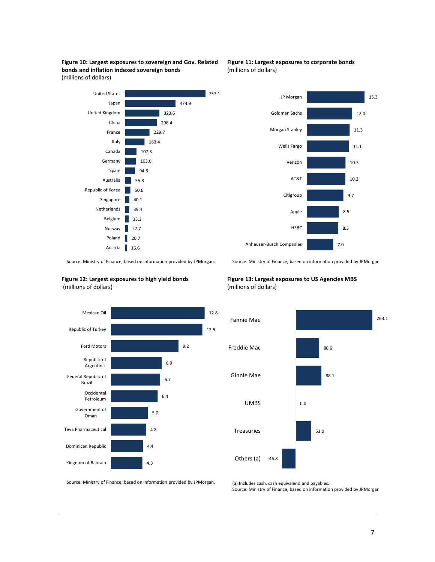







Source: Ministry of Finance, based on information provided by JPMorgan. .

**Figure 12: Largest exposures to high yield bonds** (millions of dollars)



**Figure 13: Largest exposures to US Agencies MBS**  (millions of dollars)



Source: Ministry of Finance, based on information provided by JPMorgan.

(a) Includes cash, cash equivalend and payables. Source: Ministry of Finance, based on information provided by JPMorgan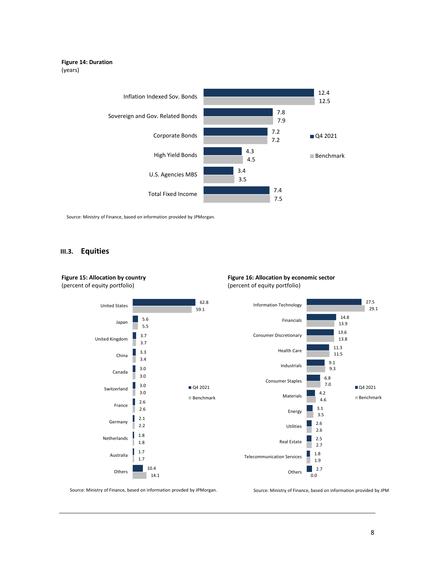#### **Figure 14: Duration** (years)



Source: Ministry of Finance, based on information provided by JPMorgan.

#### **III.3. Equities**



Source: Ministry of Finance, based on information provded by JPMorgan.

Source: Ministry of Finance, based on information provided by JPM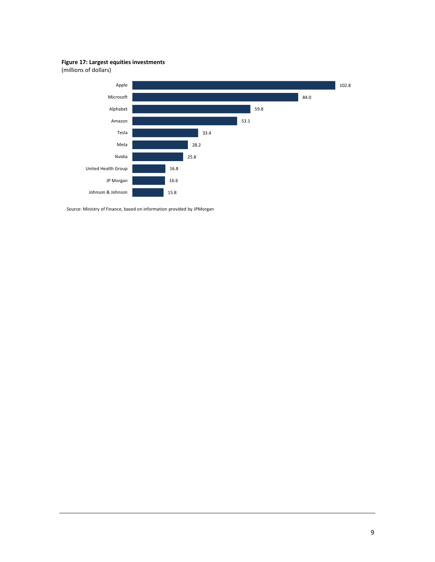**Figure 17: Largest equities investments**

(millions of dollars)



Source: Ministry of Finance, based on information provided by JPMorgan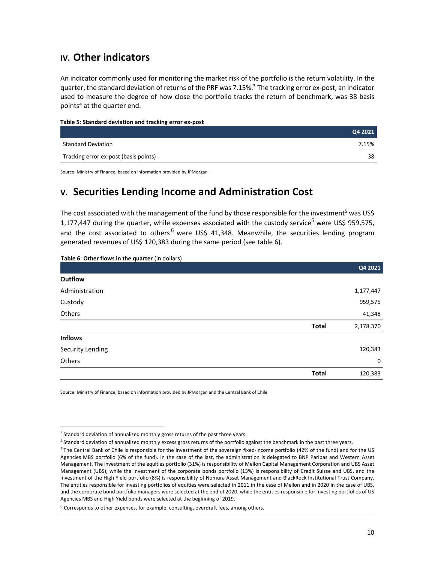## **IV. Other indicators**

An indicator commonly used for monitoring the market risk of the portfolio is the return volatility. In the quarter, the standard deviation of returns of the PRF was 7.15%. <sup>3</sup> The tracking error ex-post, an indicator used to measure the degree of how close the portfolio tracks the return of benchmark, was 38 basis points<sup>4</sup> at the quarter end.

| Table 5: Standard deviation and tracking error ex-post |  |  |  |  |
|--------------------------------------------------------|--|--|--|--|
|--------------------------------------------------------|--|--|--|--|

|                                       | Q4 2021 |
|---------------------------------------|---------|
| <b>Standard Deviation</b>             | 7.15%   |
| Tracking error ex-post (basis points) | 38      |

Source: Ministry of Finance, based on information provided by JPMorgan

## **V. Securities Lending Income and Administration Cost**

The cost associated with the management of the fund by those responsible for the investment<sup>5</sup> was US\$ 1,177,447 during the quarter, while expenses associated with the custody service<sup>6</sup> were US\$ 959,575, and the cost associated to others  $6$  were US\$ 41,348. Meanwhile, the securities lending program generated revenues of US\$ 120,383 during the same period (see table 6).

| Table 6: Other flows in the quarter (in dollars) |              |           |
|--------------------------------------------------|--------------|-----------|
|                                                  |              | Q4 2021   |
| <b>Outflow</b>                                   |              |           |
| Administration                                   |              | 1,177,447 |
| Custody                                          |              | 959,575   |
| Others                                           |              | 41,348    |
|                                                  | <b>Total</b> | 2,178,370 |
| <b>Inflows</b>                                   |              |           |
| Security Lending                                 |              | 120,383   |
| Others                                           |              | 0         |
|                                                  | <b>Total</b> | 120,383   |

Source: Ministry of Finance, based on information provided by JPMorgan and the Central Bank of Chile

 $\overline{a}$ 

<sup>&</sup>lt;sup>3</sup> Standard deviation of annualized monthly gross returns of the past three years.

<sup>4</sup> Standard deviation of annualized monthly excess gross returns of the portfolio against the benchmark in the past three years.

<sup>5</sup> The Central Bank of Chile is responsible for the investment of the sovereign fixed-income portfolio (42% of the fund) and for the US Agencies MBS portfolio (6% of the fund). In the case of the last, the administration is delegated to BNP Paribas and Western Asset Management. The investment of the equities portfolio (31%) is responsibility of Mellon Capital Management Corporation and UBS Asset Management (UBS), while the investment of the corporate bonds portfolio (13%) is responsibility of Credit Suisse and UBS, and the investment of the High Yield portfolio (8%) is responsibility of Nomura Asset Management and BlackRock Institutional Trust Company. The entities responsible for investing portfolios of equities were selected in 2011 in the case of Mellon and in 2020 in the case of UBS, and the corporate bond portfolio managers were selected at the end of 2020, while the entities responsible for investing portfolios of US Agencies MBS and High Yield bonds were selected at the beginning of 2019.

 $6$  Corresponds to other expenses, for example, consulting, overdraft fees, among others.